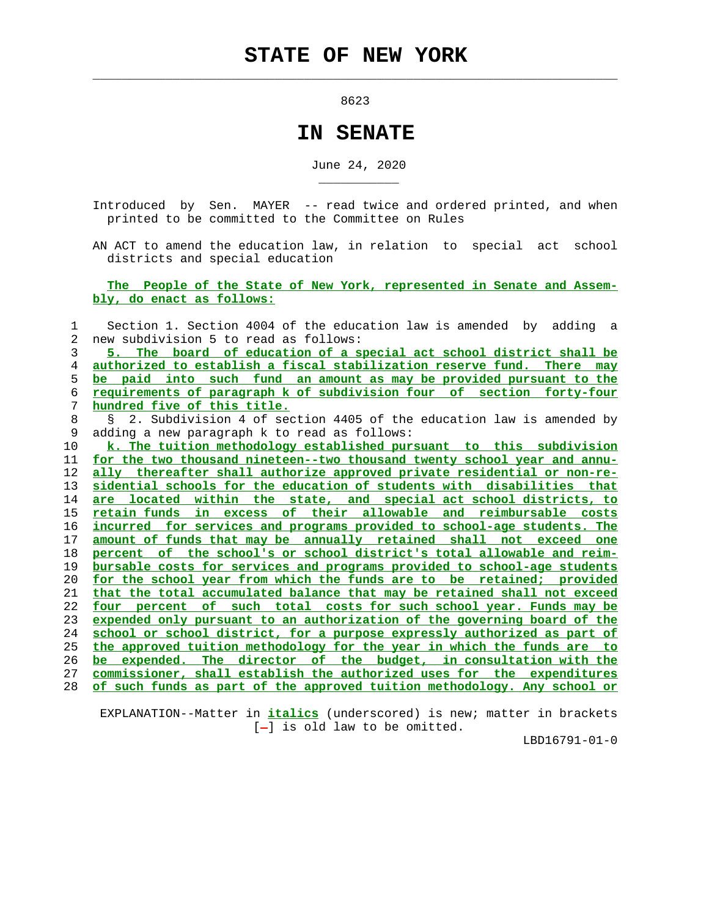$\mathcal{L}_\text{max} = \frac{1}{2} \sum_{i=1}^{n} \frac{1}{2} \sum_{i=1}^{n} \frac{1}{2} \sum_{i=1}^{n} \frac{1}{2} \sum_{i=1}^{n} \frac{1}{2} \sum_{i=1}^{n} \frac{1}{2} \sum_{i=1}^{n} \frac{1}{2} \sum_{i=1}^{n} \frac{1}{2} \sum_{i=1}^{n} \frac{1}{2} \sum_{i=1}^{n} \frac{1}{2} \sum_{i=1}^{n} \frac{1}{2} \sum_{i=1}^{n} \frac{1}{2} \sum_{i=1}^{n} \frac{1$ 

\_\_\_\_\_\_\_\_\_\_\_

external contracts and the second second second second second second second second second second second second

## **IN SENATE**

June 24, 2020

 Introduced by Sen. MAYER -- read twice and ordered printed, and when printed to be committed to the Committee on Rules

 AN ACT to amend the education law, in relation to special act school districts and special education

 **The People of the State of New York, represented in Senate and Assem bly, do enact as follows:**

 1 Section 1. Section 4004 of the education law is amended by adding a 2 new subdivision 5 to read as follows: **5. The board of education of a special act school district shall be authorized to establish a fiscal stabilization reserve fund. There may be paid into such fund an amount as may be provided pursuant to the requirements of paragraph k of subdivision four of section forty-four hundred five of this title.** 8 § 2. Subdivision 4 of section 4405 of the education law is amended by 9 adding a new paragraph k to read as follows: **k. The tuition methodology established pursuant to this subdivision for the two thousand nineteen--two thousand twenty school year and annu- ally thereafter shall authorize approved private residential or non-re- sidential schools for the education of students with disabilities that are located within the state, and special act school districts, to retain funds in excess of their allowable and reimbursable costs incurred for services and programs provided to school-age students. The amount of funds that may be annually retained shall not exceed one percent of the school's or school district's total allowable and reim- bursable costs for services and programs provided to school-age students for the school year from which the funds are to be retained; provided that the total accumulated balance that may be retained shall not exceed four percent of such total costs for such school year. Funds may be expended only pursuant to an authorization of the governing board of the school or school district, for a purpose expressly authorized as part of the approved tuition methodology for the year in which the funds are to be expended. The director of the budget, in consultation with the commissioner, shall establish the authorized uses for the expenditures of such funds as part of the approved tuition methodology. Any school or**

 EXPLANATION--Matter in **italics** (underscored) is new; matter in brackets  $[-]$  is old law to be omitted.

LBD16791-01-0